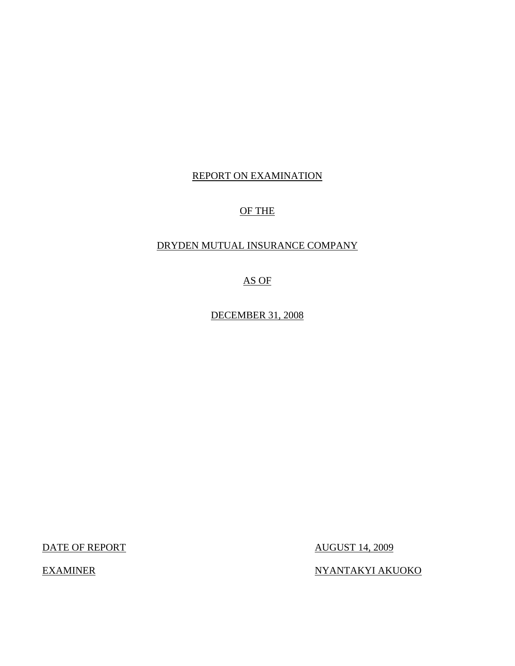# REPORT ON EXAMINATION

# OF THE

# DRYDEN MUTUAL INSURANCE COMPANY

AS OF

DECEMBER 31, 2008

DATE OF REPORT AUGUST 14, 2009

EXAMINER NYANTAKYI AKUOKO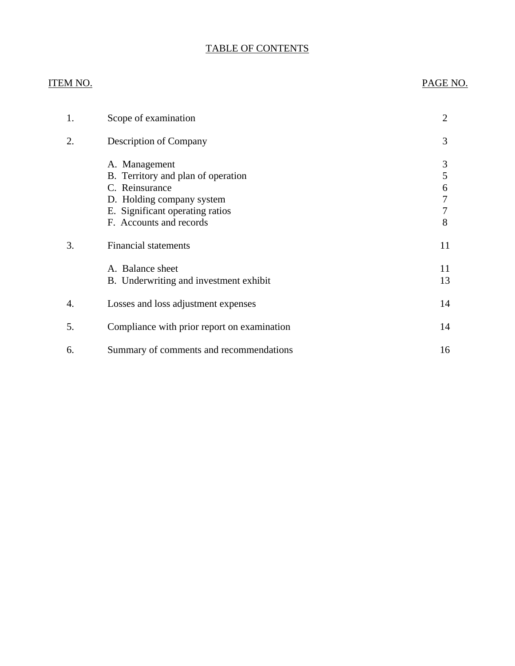# TABLE OF CONTENTS

# ITEM NO. PAGE NO.

| 1. | Scope of examination                                                                                                                                             | $\overline{2}$             |
|----|------------------------------------------------------------------------------------------------------------------------------------------------------------------|----------------------------|
| 2. | Description of Company                                                                                                                                           | 3                          |
|    | A. Management<br>B. Territory and plan of operation<br>C. Reinsurance<br>D. Holding company system<br>E. Significant operating ratios<br>F. Accounts and records | 3<br>5<br>6<br>7<br>7<br>8 |
| 3. | <b>Financial statements</b>                                                                                                                                      | 11                         |
|    | A. Balance sheet<br>B. Underwriting and investment exhibit                                                                                                       | 11<br>13                   |
| 4. | Losses and loss adjustment expenses                                                                                                                              | 14                         |
| 5. | Compliance with prior report on examination                                                                                                                      | 14                         |
| 6. | Summary of comments and recommendations                                                                                                                          | 16                         |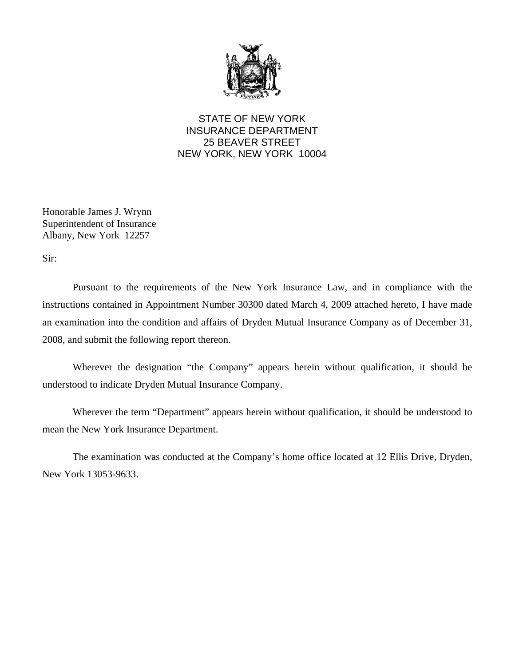

STATE OF NEW YORK INSURANCE DEPARTMENT 25 BEAVER STREET NEW YORK, NEW YORK 10004

Honorable James J. Wrynn Superintendent of Insurance Albany, New York 12257

Sir:

Pursuant to the requirements of the New York Insurance Law, and in compliance with the instructions contained in Appointment Number 30300 dated March 4, 2009 attached hereto, I have made an examination into the condition and affairs of Dryden Mutual Insurance Company as of December 31, 2008, and submit the following report thereon.

Wherever the designation "the Company" appears herein without qualification, it should be understood to indicate Dryden Mutual Insurance Company.

Wherever the term "Department" appears herein without qualification, it should be understood to mean the New York Insurance Department.

The examination was conducted at the Company's home office located at 12 Ellis Drive, Dryden, New York 13053-9633.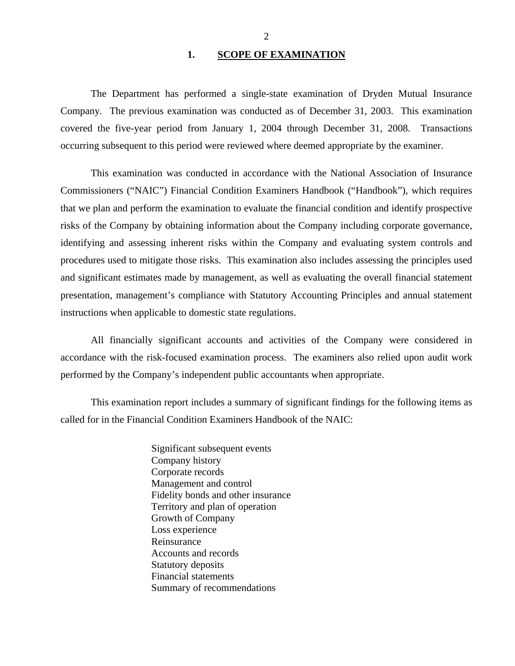## 1. SCOPE OF EXAMINATION

<span id="page-3-0"></span>The Department has performed a single-state examination of Dryden Mutual Insurance Company*.* The previous examination was conducted as of December 31, 2003. This examination covered the five-year period from January 1, 2004 through December 31, 2008. Transactions occurring subsequent to this period were reviewed where deemed appropriate by the examiner.

This examination was conducted in accordance with the National Association of Insurance Commissioners ("NAIC") Financial Condition Examiners Handbook ("Handbook"), which requires that we plan and perform the examination to evaluate the financial condition and identify prospective risks of the Company by obtaining information about the Company including corporate governance, identifying and assessing inherent risks within the Company and evaluating system controls and procedures used to mitigate those risks. This examination also includes assessing the principles used and significant estimates made by management, as well as evaluating the overall financial statement presentation, management's compliance with Statutory Accounting Principles and annual statement instructions when applicable to domestic state regulations.

All financially significant accounts and activities of the Company were considered in accordance with the risk-focused examination process. The examiners also relied upon audit work performed by the Company's independent public accountants when appropriate.

This examination report includes a summary of significant findings for the following items as called for in the Financial Condition Examiners Handbook of the NAIC:

> Significant subsequent events Company history Corporate records Management and control Fidelity bonds and other insurance Territory and plan of operation Growth of Company Loss experience Reinsurance Accounts and records Statutory deposits Financial statements Summary of recommendations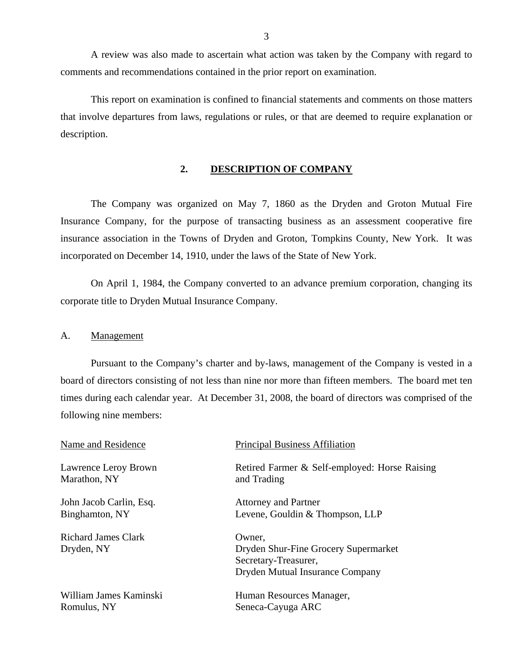<span id="page-4-0"></span>A review was also made to ascertain what action was taken by the Company with regard to comments and recommendations contained in the prior report on examination.

This report on examination is confined to financial statements and comments on those matters that involve departures from laws, regulations or rules, or that are deemed to require explanation or description.

# **2. DESCRIPTION OF COMPANY**

The Company was organized on May 7, 1860 as the Dryden and Groton Mutual Fire Insurance Company, for the purpose of transacting business as an assessment cooperative fire insurance association in the Towns of Dryden and Groton, Tompkins County, New York. It was incorporated on December 14, 1910, under the laws of the State of New York.

On April 1, 1984, the Company converted to an advance premium corporation, changing its corporate title to Dryden Mutual Insurance Company.

### A. Management

Pursuant to the Company's charter and by-laws, management of the Company is vested in a board of directors consisting of not less than nine nor more than fifteen members. The board met ten times during each calendar year. At December 31, 2008, the board of directors was comprised of the following nine members:

| Name and Residence                | <b>Principal Business Affiliation</b>                                                                     |
|-----------------------------------|-----------------------------------------------------------------------------------------------------------|
| Lawrence Leroy Brown              | Retired Farmer & Self-employed: Horse Raising                                                             |
| Marathon, NY                      | and Trading                                                                                               |
| John Jacob Carlin, Esq.           | <b>Attorney and Partner</b>                                                                               |
| Binghamton, NY                    | Levene, Gouldin & Thompson, LLP                                                                           |
| Richard James Clark<br>Dryden, NY | Owner,<br>Dryden Shur-Fine Grocery Supermarket<br>Secretary-Treasurer,<br>Dryden Mutual Insurance Company |
| William James Kaminski            | Human Resources Manager,                                                                                  |
| Romulus, NY                       | Seneca-Cayuga ARC                                                                                         |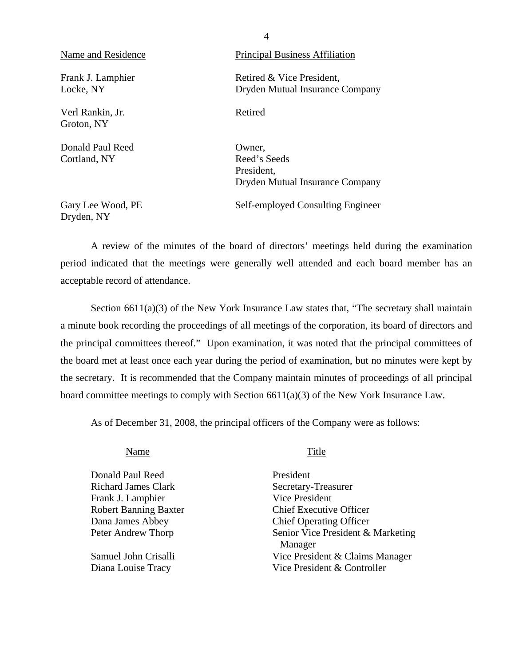| Name and Residence               | <b>Principal Business Affiliation</b>                                   |
|----------------------------------|-------------------------------------------------------------------------|
| Frank J. Lamphier<br>Locke, NY   | Retired & Vice President,<br>Dryden Mutual Insurance Company            |
| Verl Rankin, Jr.<br>Groton, NY   | Retired                                                                 |
| Donald Paul Reed<br>Cortland, NY | Owner,<br>Reed's Seeds<br>President,<br>Dryden Mutual Insurance Company |
| Gary Lee Wood, PE                | Self-employed Consulting Engineer                                       |

A review of the minutes of the board of directors' meetings held during the examination period indicated that the meetings were generally well attended and each board member has an acceptable record of attendance.

4

Section  $6611(a)(3)$  of the New York Insurance Law states that, "The secretary shall maintain a minute book recording the proceedings of all meetings of the corporation, its board of directors and the principal committees thereof." Upon examination, it was noted that the principal committees of the board met at least once each year during the period of examination, but no minutes were kept by the secretary. It is recommended that the Company maintain minutes of proceedings of all principal board committee meetings to comply with Section 6611(a)(3) of the New York Insurance Law.

As of December 31, 2008, the principal officers of the Company were as follows:

Name Title

Dryden, NY

Donald Paul Reed President Richard James Clark Secretary-Treasurer Frank J. Lamphier Vice President Robert Banning Baxter Chief Executive Officer Dana James Abbey Chief Operating Officer

Peter Andrew Thorp Senior Vice President & Marketing Manager Samuel John Crisalli Vice President & Claims Manager Diana Louise Tracy Vice President & Controller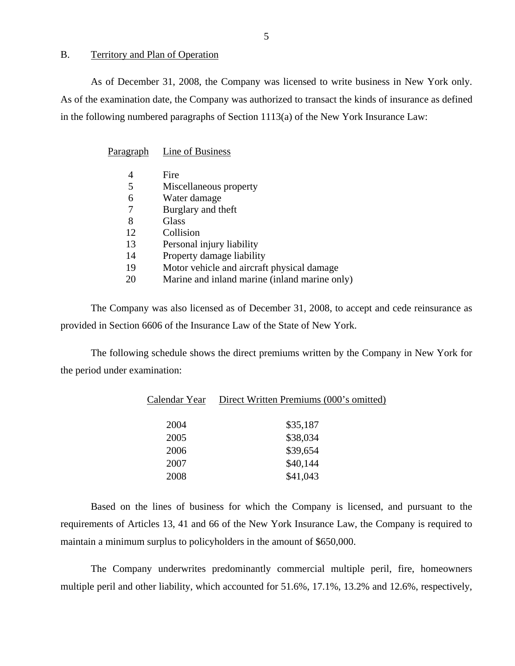## <span id="page-6-0"></span>B. Territory and Plan of Operation

As of December 31, 2008, the Company was licensed to write business in New York only. As of the examination date, the Company was authorized to transact the kinds of insurance as defined in the following numbered paragraphs of Section 1113(a) of the New York Insurance Law:

Paragraph Line of Business

|    | Fire                                          |
|----|-----------------------------------------------|
| 5  | Miscellaneous property                        |
| 6  | Water damage                                  |
|    | Burglary and theft                            |
| 8  | Glass                                         |
| 12 | Collision                                     |
| 13 | Personal injury liability                     |
| 14 | Property damage liability                     |
| 19 | Motor vehicle and aircraft physical damage    |
| 20 | Marine and inland marine (inland marine only) |

The Company was also licensed as of December 31, 2008, to accept and cede reinsurance as provided in Section 6606 of the Insurance Law of the State of New York.

The following schedule shows the direct premiums written by the Company in New York for the period under examination:

| Calendar Year | Direct Written Premiums (000's omitted) |
|---------------|-----------------------------------------|
| 2004          | \$35,187                                |
| 2005          | \$38,034                                |
| 2006          | \$39,654                                |
| 2007          | \$40,144                                |
| 2008          | \$41,043                                |

Based on the lines of business for which the Company is licensed, and pursuant to the requirements of Articles 13, 41 and 66 of the New York Insurance Law, the Company is required to maintain a minimum surplus to policyholders in the amount of \$650,000.

The Company underwrites predominantly commercial multiple peril, fire, homeowners multiple peril and other liability, which accounted for 51.6%, 17.1%, 13.2% and 12.6%, respectively,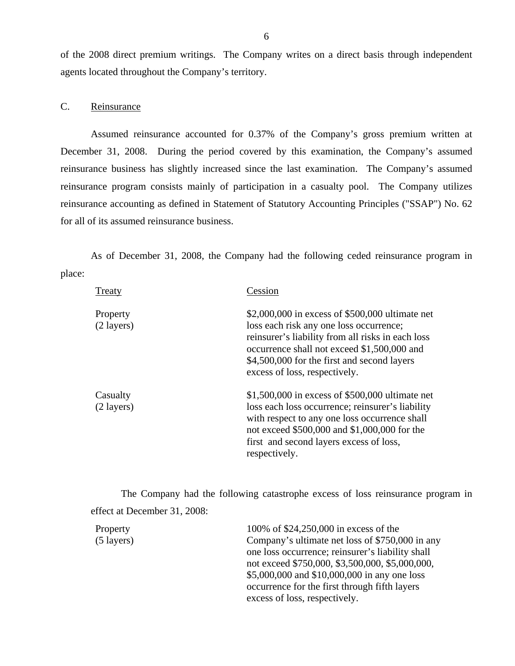of the 2008 direct premium writings. The Company writes on a direct basis through independent agents located throughout the Company's territory.

# C. Reinsurance

Assumed reinsurance accounted for 0.37% of the Company's gross premium written at December 31, 2008. During the period covered by this examination, the Company's assumed reinsurance business has slightly increased since the last examination. The Company's assumed reinsurance program consists mainly of participation in a casualty pool. The Company utilizes reinsurance accounting as defined in Statement of Statutory Accounting Principles ("SSAP") No. 62 for all of its assumed reinsurance business.

As of December 31, 2008, the Company had the following ceded reinsurance program in place:

| <b>Treaty</b>                    | Cession                                                                                                                                                                                                                                                                        |
|----------------------------------|--------------------------------------------------------------------------------------------------------------------------------------------------------------------------------------------------------------------------------------------------------------------------------|
| Property<br>$(2 \text{ layers})$ | \$2,000,000 in excess of \$500,000 ultimate net<br>loss each risk any one loss occurrence;<br>reinsurer's liability from all risks in each loss<br>occurrence shall not exceed \$1,500,000 and<br>\$4,500,000 for the first and second layers<br>excess of loss, respectively. |
| Casualty<br>$(2 \text{ layers})$ | \$1,500,000 in excess of \$500,000 ultimate net<br>loss each loss occurrence; reinsurer's liability<br>with respect to any one loss occurrence shall<br>not exceed \$500,000 and \$1,000,000 for the<br>first and second layers excess of loss,<br>respectively.               |

The Company had the following catastrophe excess of loss reinsurance program in effect at December 31, 2008:

| Property             | 100% of \$24,250,000 in excess of the            |
|----------------------|--------------------------------------------------|
| $(5 \text{ layers})$ | Company's ultimate net loss of \$750,000 in any  |
|                      | one loss occurrence; reinsurer's liability shall |
|                      | not exceed \$750,000, \$3,500,000, \$5,000,000,  |
|                      | \$5,000,000 and \$10,000,000 in any one loss     |
|                      | occurrence for the first through fifth layers    |
|                      | excess of loss, respectively.                    |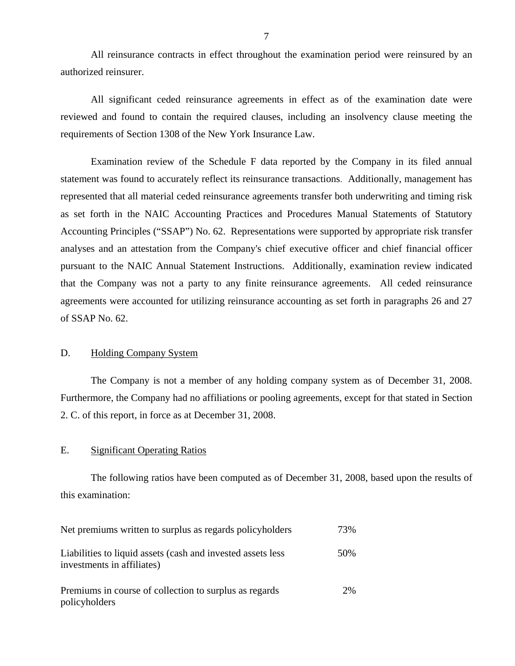All reinsurance contracts in effect throughout the examination period were reinsured by an authorized reinsurer.

All significant ceded reinsurance agreements in effect as of the examination date were reviewed and found to contain the required clauses, including an insolvency clause meeting the requirements of Section 1308 of the New York Insurance Law.

Examination review of the Schedule F data reported by the Company in its filed annual statement was found to accurately reflect its reinsurance transactions. Additionally, management has represented that all material ceded reinsurance agreements transfer both underwriting and timing risk as set forth in the NAIC Accounting Practices and Procedures Manual Statements of Statutory Accounting Principles ("SSAP") No. 62. Representations were supported by appropriate risk transfer analyses and an attestation from the Company's chief executive officer and chief financial officer pursuant to the NAIC Annual Statement Instructions. Additionally, examination review indicated that the Company was not a party to any finite reinsurance agreements. All ceded reinsurance agreements were accounted for utilizing reinsurance accounting as set forth in paragraphs 26 and 27 of SSAP No. 62.

## D. Holding Company System

The Company is not a member of any holding company system as of December 31, 2008. Furthermore, the Company had no affiliations or pooling agreements, except for that stated in Section 2. C. of this report, in force as at December 31, 2008.

## E. Significant Operating Ratios

The following ratios have been computed as of December 31, 2008, based upon the results of this examination:

| Net premiums written to surplus as regards policyholders                                  | 73% |
|-------------------------------------------------------------------------------------------|-----|
| Liabilities to liquid assets (cash and invested assets less<br>investments in affiliates) | 50% |
| Premiums in course of collection to surplus as regards<br>policyholders                   | 2%  |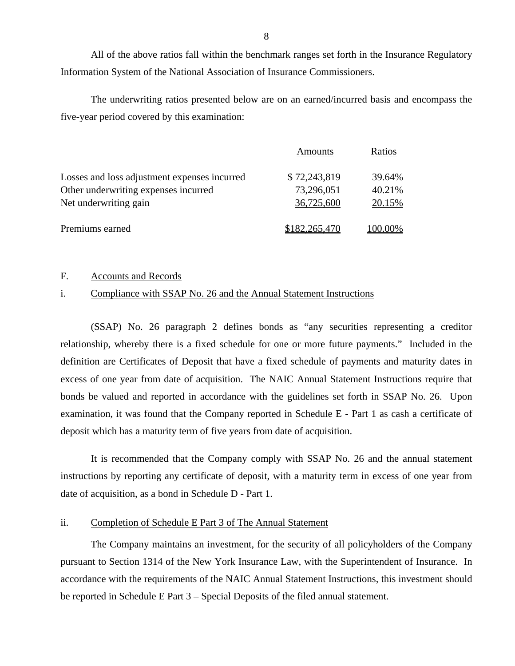All of the above ratios fall within the benchmark ranges set forth in the Insurance Regulatory Information System of the National Association of Insurance Commissioners.

The underwriting ratios presented below are on an earned/incurred basis and encompass the five-year period covered by this examination:

|                                              | Amounts       | Ratios  |
|----------------------------------------------|---------------|---------|
| Losses and loss adjustment expenses incurred | \$72,243,819  | 39.64%  |
| Other underwriting expenses incurred         | 73,296,051    | 40.21%  |
| Net underwriting gain                        | 36,725,600    | 20.15%  |
| Premiums earned                              | \$182,265,470 | 100.00% |

## F. Accounts and Records

# i. Compliance with SSAP No. 26 and the Annual Statement Instructions

(SSAP) No. 26 paragraph 2 defines bonds as "any securities representing a creditor relationship, whereby there is a fixed schedule for one or more future payments." Included in the definition are Certificates of Deposit that have a fixed schedule of payments and maturity dates in excess of one year from date of acquisition. The NAIC Annual Statement Instructions require that bonds be valued and reported in accordance with the guidelines set forth in SSAP No. 26. Upon examination, it was found that the Company reported in Schedule E - Part 1 as cash a certificate of deposit which has a maturity term of five years from date of acquisition.

It is recommended that the Company comply with SSAP No. 26 and the annual statement instructions by reporting any certificate of deposit, with a maturity term in excess of one year from date of acquisition, as a bond in Schedule D - Part 1.

# ii. Completion of Schedule E Part 3 of The Annual Statement

The Company maintains an investment, for the security of all policyholders of the Company pursuant to Section 1314 of the New York Insurance Law, with the Superintendent of Insurance. In accordance with the requirements of the NAIC Annual Statement Instructions, this investment should be reported in Schedule E Part 3 – Special Deposits of the filed annual statement.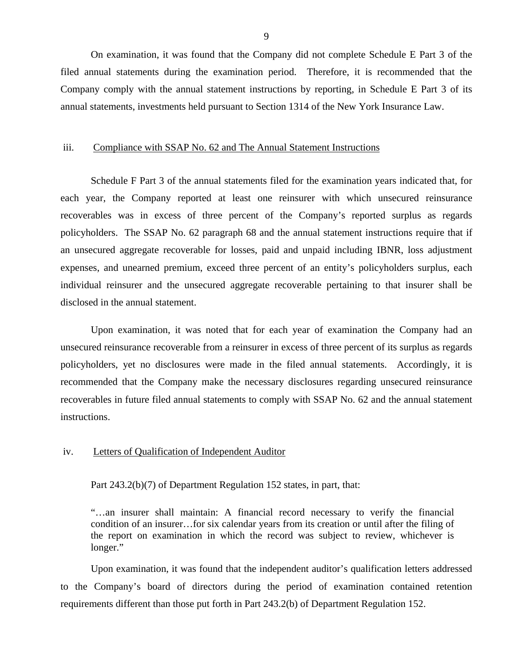On examination, it was found that the Company did not complete Schedule E Part 3 of the filed annual statements during the examination period. Therefore, it is recommended that the Company comply with the annual statement instructions by reporting, in Schedule E Part 3 of its annual statements, investments held pursuant to Section 1314 of the New York Insurance Law.

## iii. Compliance with SSAP No. 62 and The Annual Statement Instructions

Schedule F Part 3 of the annual statements filed for the examination years indicated that, for each year, the Company reported at least one reinsurer with which unsecured reinsurance recoverables was in excess of three percent of the Company's reported surplus as regards policyholders. The SSAP No. 62 paragraph 68 and the annual statement instructions require that if an unsecured aggregate recoverable for losses, paid and unpaid including IBNR, loss adjustment expenses, and unearned premium, exceed three percent of an entity's policyholders surplus, each individual reinsurer and the unsecured aggregate recoverable pertaining to that insurer shall be disclosed in the annual statement.

Upon examination, it was noted that for each year of examination the Company had an unsecured reinsurance recoverable from a reinsurer in excess of three percent of its surplus as regards policyholders, yet no disclosures were made in the filed annual statements. Accordingly, it is recommended that the Company make the necessary disclosures regarding unsecured reinsurance recoverables in future filed annual statements to comply with SSAP No. 62 and the annual statement instructions.

## iv. Letters of Qualification of Independent Auditor

Part 243.2(b)(7) of Department Regulation 152 states, in part, that:

"…an insurer shall maintain: A financial record necessary to verify the financial condition of an insurer…for six calendar years from its creation or until after the filing of the report on examination in which the record was subject to review, whichever is longer."

Upon examination, it was found that the independent auditor's qualification letters addressed to the Company's board of directors during the period of examination contained retention requirements different than those put forth in Part 243.2(b) of Department Regulation 152.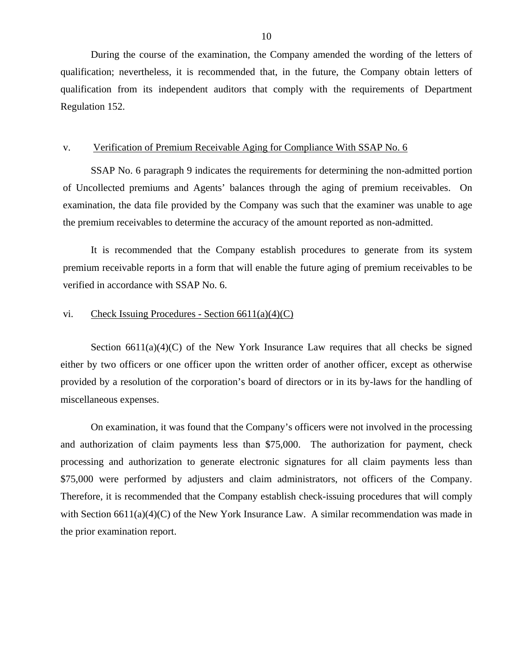During the course of the examination, the Company amended the wording of the letters of qualification; nevertheless, it is recommended that, in the future, the Company obtain letters of qualification from its independent auditors that comply with the requirements of Department Regulation 152.

## v. Verification of Premium Receivable Aging for Compliance With SSAP No. 6

SSAP No. 6 paragraph 9 indicates the requirements for determining the non-admitted portion of Uncollected premiums and Agents' balances through the aging of premium receivables. On examination, the data file provided by the Company was such that the examiner was unable to age the premium receivables to determine the accuracy of the amount reported as non-admitted.

It is recommended that the Company establish procedures to generate from its system premium receivable reports in a form that will enable the future aging of premium receivables to be verified in accordance with SSAP No. 6.

## vi. Check Issuing Procedures - Section  $6611(a)(4)(C)$

Section  $6611(a)(4)(C)$  of the New York Insurance Law requires that all checks be signed either by two officers or one officer upon the written order of another officer, except as otherwise provided by a resolution of the corporation's board of directors or in its by-laws for the handling of miscellaneous expenses.

On examination, it was found that the Company's officers were not involved in the processing and authorization of claim payments less than \$75,000. The authorization for payment, check processing and authorization to generate electronic signatures for all claim payments less than \$75,000 were performed by adjusters and claim administrators, not officers of the Company. Therefore, it is recommended that the Company establish check-issuing procedures that will comply with Section 6611(a)(4)(C) of the New York Insurance Law. A similar recommendation was made in the prior examination report.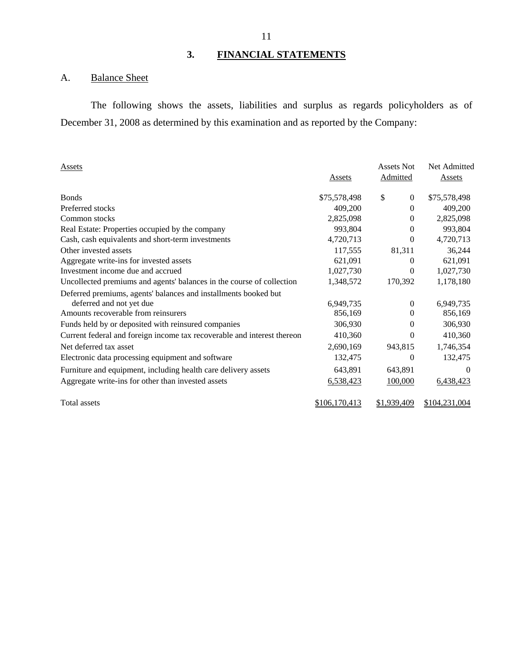# **3. FINANCIAL STATEMENTS**

# A. Balance Sheet

The following shows the assets, liabilities and surplus as regards policyholders as of December 31, 2008 as determined by this examination and as reported by the Company:

| Assets                                                                  | Assets        | Assets Not<br>Admitted | Net Admitted<br><b>Assets</b> |
|-------------------------------------------------------------------------|---------------|------------------------|-------------------------------|
| <b>Bonds</b>                                                            | \$75,578,498  | \$<br>$\mathbf{0}$     | \$75,578,498                  |
| Preferred stocks                                                        | 409,200       | $\theta$               | 409,200                       |
| Common stocks                                                           | 2,825,098     | 0                      | 2,825,098                     |
| Real Estate: Properties occupied by the company                         | 993,804       | $\theta$               | 993,804                       |
| Cash, cash equivalents and short-term investments                       | 4,720,713     | 0                      | 4,720,713                     |
| Other invested assets                                                   | 117,555       | 81,311                 | 36,244                        |
| Aggregate write-ins for invested assets                                 | 621,091       | 0                      | 621,091                       |
| Investment income due and accrued                                       | 1,027,730     | 0                      | 1,027,730                     |
| Uncollected premiums and agents' balances in the course of collection   | 1,348,572     | 170,392                | 1,178,180                     |
| Deferred premiums, agents' balances and installments booked but         |               |                        |                               |
| deferred and not yet due                                                | 6,949,735     | 0                      | 6,949,735                     |
| Amounts recoverable from reinsurers                                     | 856,169       | $\theta$               | 856,169                       |
| Funds held by or deposited with reinsured companies                     | 306,930       | 0                      | 306,930                       |
| Current federal and foreign income tax recoverable and interest thereon | 410,360       | 0                      | 410,360                       |
| Net deferred tax asset                                                  | 2,690,169     | 943,815                | 1,746,354                     |
| Electronic data processing equipment and software                       | 132,475       | 0                      | 132,475                       |
| Furniture and equipment, including health care delivery assets          | 643,891       | 643,891                | $\Omega$                      |
| Aggregate write-ins for other than invested assets                      | 6,538,423     | 100,000                | 6,438,423                     |
| Total assets                                                            | \$106,170,413 | \$1,939,409            | \$104,231,004                 |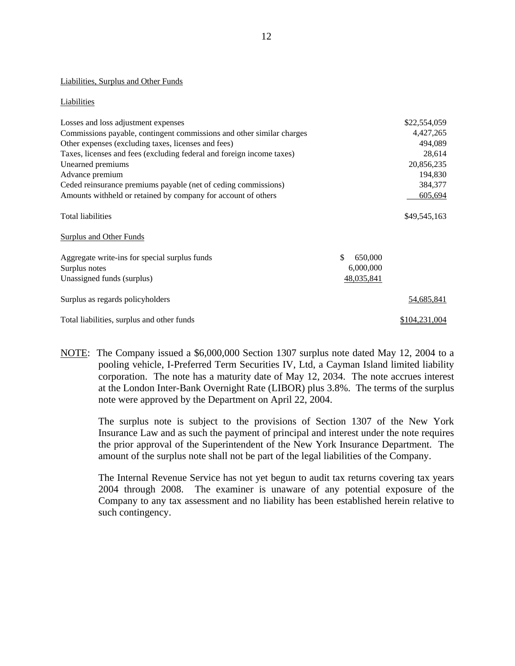### Liabilities, Surplus and Other Funds

#### Liabilities

| Losses and loss adjustment expenses                                   |               | \$22,554,059      |
|-----------------------------------------------------------------------|---------------|-------------------|
| Commissions payable, contingent commissions and other similar charges |               | 4,427,265         |
| Other expenses (excluding taxes, licenses and fees)                   |               | 494,089           |
| Taxes, licenses and fees (excluding federal and foreign income taxes) |               | 28,614            |
| Unearned premiums                                                     |               | 20,856,235        |
| Advance premium                                                       |               | 194,830           |
| Ceded reinsurance premiums payable (net of ceding commissions)        |               | 384,377           |
| Amounts withheld or retained by company for account of others         |               | 605,694           |
| <b>Total liabilities</b>                                              |               | \$49,545,163      |
| <b>Surplus and Other Funds</b>                                        |               |                   |
| Aggregate write-ins for special surplus funds                         | \$<br>650,000 |                   |
| Surplus notes                                                         | 6,000,000     |                   |
| Unassigned funds (surplus)                                            | 48,035,841    |                   |
| Surplus as regards policyholders                                      |               | <u>54,685,841</u> |
| Total liabilities, surplus and other funds                            |               | \$104,231,004     |

NOTE: The Company issued a \$6,000,000 Section 1307 surplus note dated May 12, 2004 to a pooling vehicle, I-Preferred Term Securities IV, Ltd, a Cayman Island limited liability corporation. The note has a maturity date of May 12, 2034. The note accrues interest at the London Inter-Bank Overnight Rate (LIBOR) plus 3.8%. The terms of the surplus note were approved by the Department on April 22, 2004.

The surplus note is subject to the provisions of Section 1307 of the New York Insurance Law and as such the payment of principal and interest under the note requires the prior approval of the Superintendent of the New York Insurance Department. The amount of the surplus note shall not be part of the legal liabilities of the Company.

The Internal Revenue Service has not yet begun to audit tax returns covering tax years 2004 through 2008. The examiner is unaware of any potential exposure of the Company to any tax assessment and no liability has been established herein relative to such contingency.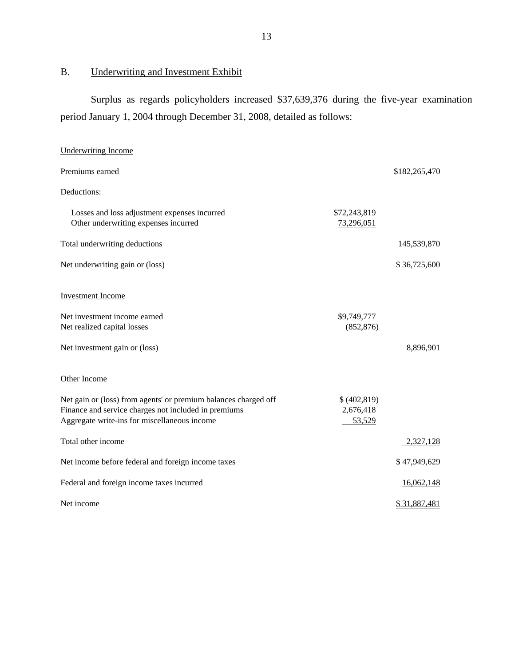# <span id="page-14-0"></span>B. Underwriting and Investment Exhibit

Surplus as regards policyholders increased \$37,639,376 during the five-year examination period January 1, 2004 through December 31, 2008, detailed as follows:

| <b>Underwriting Income</b>                                                                                                                                              |                                    |               |
|-------------------------------------------------------------------------------------------------------------------------------------------------------------------------|------------------------------------|---------------|
| Premiums earned                                                                                                                                                         |                                    | \$182,265,470 |
| Deductions:                                                                                                                                                             |                                    |               |
| Losses and loss adjustment expenses incurred<br>Other underwriting expenses incurred                                                                                    | \$72,243,819<br>73,296,051         |               |
| Total underwriting deductions                                                                                                                                           |                                    | 145,539,870   |
| Net underwriting gain or (loss)                                                                                                                                         |                                    | \$36,725,600  |
| <b>Investment Income</b>                                                                                                                                                |                                    |               |
| Net investment income earned<br>Net realized capital losses                                                                                                             | \$9,749,777<br>(852, 876)          |               |
| Net investment gain or (loss)                                                                                                                                           |                                    | 8,896,901     |
| Other Income                                                                                                                                                            |                                    |               |
| Net gain or (loss) from agents' or premium balances charged off<br>Finance and service charges not included in premiums<br>Aggregate write-ins for miscellaneous income | \$(402,819)<br>2,676,418<br>53,529 |               |
| Total other income                                                                                                                                                      |                                    | 2,327,128     |
| Net income before federal and foreign income taxes                                                                                                                      |                                    | \$47,949,629  |
| Federal and foreign income taxes incurred                                                                                                                               |                                    | 16,062,148    |
| Net income                                                                                                                                                              |                                    | \$31,887,481  |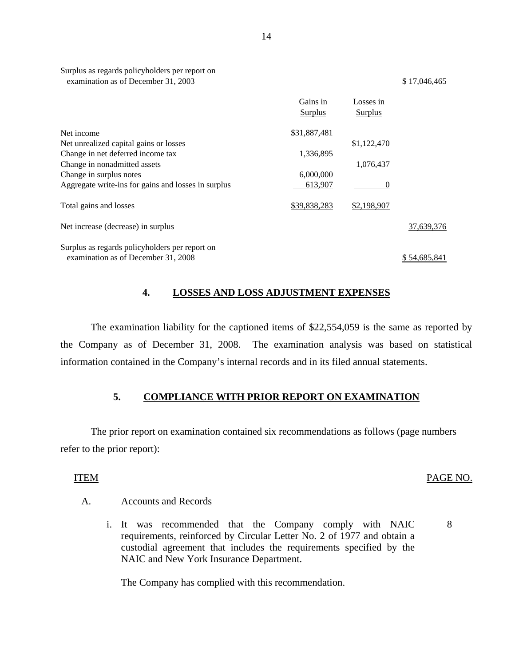| Surplus as regards policyholders per report on |
|------------------------------------------------|
| examination as of December 31, 2003            |

|                                                                                       | Gains in<br><b>Surplus</b> | Losses in<br><b>Surplus</b> |              |
|---------------------------------------------------------------------------------------|----------------------------|-----------------------------|--------------|
| Net income                                                                            | \$31,887,481               |                             |              |
| Net unrealized capital gains or losses                                                |                            | \$1,122,470                 |              |
| Change in net deferred income tax                                                     | 1,336,895                  |                             |              |
| Change in nonadmitted assets                                                          |                            | 1,076,437                   |              |
| Change in surplus notes                                                               | 6,000,000                  |                             |              |
| Aggregate write-ins for gains and losses in surplus                                   | 613,907                    |                             |              |
| Total gains and losses                                                                | \$39,838,283               | \$2,198,907                 |              |
| Net increase (decrease) in surplus                                                    |                            |                             | 37,639,376   |
| Surplus as regards policyholders per report on<br>examination as of December 31, 2008 |                            |                             | \$54,685,841 |

# **4. LOSSES AND LOSS ADJUSTMENT EXPENSES**

The examination liability for the captioned items of \$22,554,059 is the same as reported by the Company as of December 31, 2008. The examination analysis was based on statistical information contained in the Company's internal records and in its filed annual statements.

## **5. COMPLIANCE WITH PRIOR REPORT ON EXAMINATION**

The prior report on examination contained six recommendations as follows (page numbers refer to the prior report):

# A. Accounts and Records

i. It was recommended that the Company comply with NAIC requirements, reinforced by Circular Letter No. 2 of 1977 and obtain a custodial agreement that includes the requirements specified by the NAIC and New York Insurance Department.

The Company has complied with this recommendation.

# ITEM PAGE NO.

8

## $$ 17,046,465$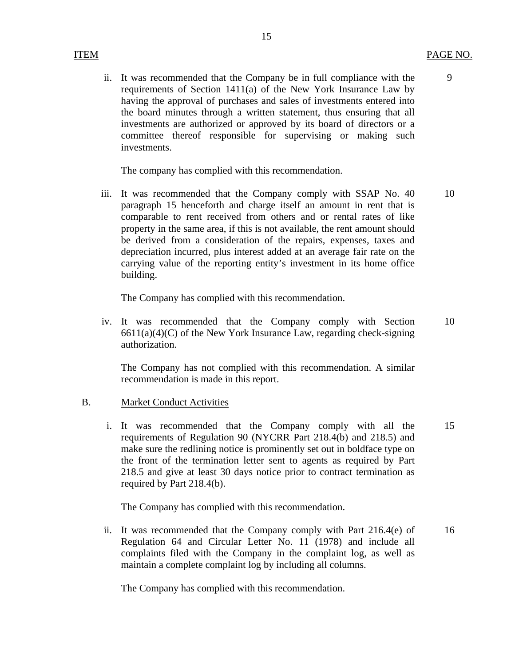9

ii. It was recommended that the Company be in full compliance with the requirements of Section 1411(a) of the New York Insurance Law by having the approval of purchases and sales of investments entered into the board minutes through a written statement, thus ensuring that all investments are authorized or approved by its board of directors or a committee thereof responsible for supervising or making such investments.

15

The company has complied with this recommendation.

iii. It was recommended that the Company comply with SSAP No. 40 paragraph 15 henceforth and charge itself an amount in rent that is comparable to rent received from others and or rental rates of like property in the same area, if this is not available, the rent amount should be derived from a consideration of the repairs, expenses, taxes and depreciation incurred, plus interest added at an average fair rate on the carrying value of the reporting entity's investment in its home office building. 10

The Company has complied with this recommendation.

iv. It was recommended that the Company comply with Section  $6611(a)(4)(C)$  of the New York Insurance Law, regarding check-signing authorization. 10

The Company has not complied with this recommendation. A similar recommendation is made in this report.

# B. Market Conduct Activities

i. It was recommended that the Company comply with all the requirements of Regulation 90 (NYCRR Part 218.4(b) and 218.5) and make sure the redlining notice is prominently set out in boldface type on the front of the termination letter sent to agents as required by Part 218.5 and give at least 30 days notice prior to contract termination as required by Part 218.4(b). 15

The Company has complied with this recommendation.

ii. It was recommended that the Company comply with Part 216.4(e) of Regulation 64 and Circular Letter No. 11 (1978) and include all complaints filed with the Company in the complaint log, as well as maintain a complete complaint log by including all columns. 16

The Company has complied with this recommendation.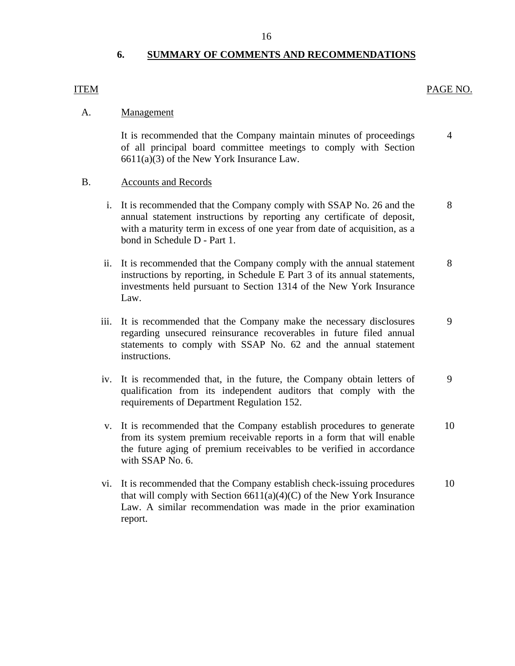# **6. SUMMARY OF COMMENTS AND RECOMMENDATIONS**

## ITEM PAGE NO.

## A. Management

It is recommended that the Company maintain minutes of proceedings of all principal board committee meetings to comply with Section 6611(a)(3) of the New York Insurance Law. 4

# B. Accounts and Records

- i. It is recommended that the Company comply with SSAP No. 26 and the annual statement instructions by reporting any certificate of deposit, with a maturity term in excess of one year from date of acquisition, as a bond in Schedule D - Part 1. 8
- ii. It is recommended that the Company comply with the annual statement instructions by reporting, in Schedule E Part 3 of its annual statements, investments held pursuant to Section 1314 of the New York Insurance Law. 8
- iii. It is recommended that the Company make the necessary disclosures regarding unsecured reinsurance recoverables in future filed annual statements to comply with SSAP No. 62 and the annual statement instructions. 9
- iv. It is recommended that, in the future, the Company obtain letters of qualification from its independent auditors that comply with the requirements of Department Regulation 152. 9
- v. It is recommended that the Company establish procedures to generate from its system premium receivable reports in a form that will enable the future aging of premium receivables to be verified in accordance with SSAP No. 6. 10
- vi. It is recommended that the Company establish check-issuing procedures that will comply with Section  $6611(a)(4)(C)$  of the New York Insurance Law. A similar recommendation was made in the prior examination report. 10

16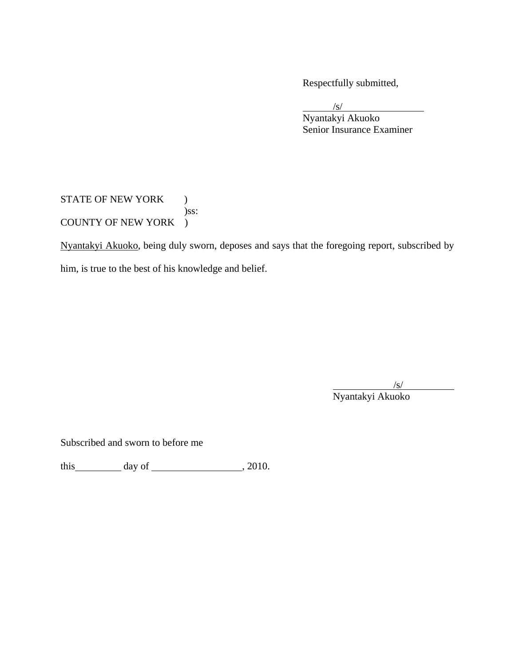Respectfully submitted,

 $\sqrt{s}$  Nyantakyi Akuoko Senior Insurance Examiner

STATE OF NEW YORK ) )ss: COUNTY OF NEW YORK )

Nyantakyi Akuoko, being duly sworn, deposes and says that the foregoing report, subscribed by him, is true to the best of his knowledge and belief.

/s/

Nyantakyi Akuoko

Subscribed and sworn to before me

this  $\qquad \qquad$  day of  $\qquad \qquad$  , 2010.